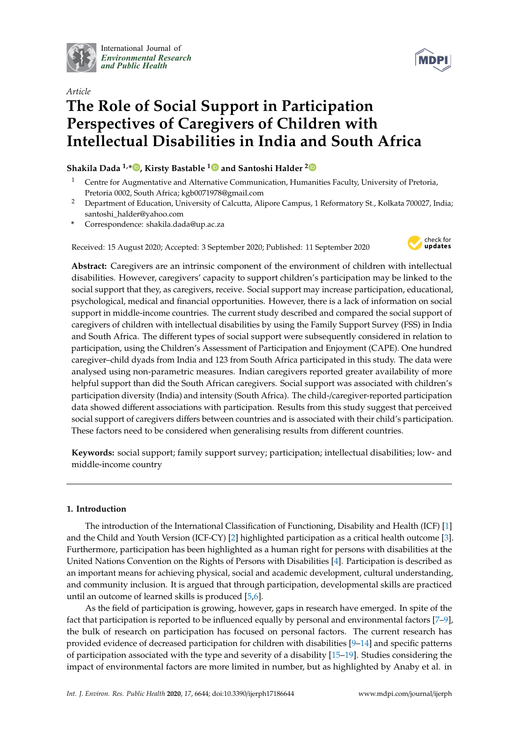

International Journal of *Environmental Research and Public Health*



# *Article* **The Role of Social Support in Participation Perspectives of Caregivers of Children with Intellectual Disabilities in India and South Africa**

# **Shakila Dada 1,\* , Kirsty Bastable <sup>1</sup> and Santoshi Halder <sup>2</sup>**

- <sup>1</sup> Centre for Augmentative and Alternative Communication, Humanities Faculty, University of Pretoria, Pretoria 0002, South Africa; kgb0071978@gmail.com
- <sup>2</sup> Department of Education, University of Calcutta, Alipore Campus, 1 Reformatory St., Kolkata 700027, India; santoshi\_halder@yahoo.com
- **\*** Correspondence: shakila.dada@up.ac.za

Received: 15 August 2020; Accepted: 3 September 2020; Published: 11 September 2020



**Abstract:** Caregivers are an intrinsic component of the environment of children with intellectual disabilities. However, caregivers' capacity to support children's participation may be linked to the social support that they, as caregivers, receive. Social support may increase participation, educational, psychological, medical and financial opportunities. However, there is a lack of information on social support in middle-income countries. The current study described and compared the social support of caregivers of children with intellectual disabilities by using the Family Support Survey (FSS) in India and South Africa. The different types of social support were subsequently considered in relation to participation, using the Children's Assessment of Participation and Enjoyment (CAPE). One hundred caregiver–child dyads from India and 123 from South Africa participated in this study. The data were analysed using non-parametric measures. Indian caregivers reported greater availability of more helpful support than did the South African caregivers. Social support was associated with children's participation diversity (India) and intensity (South Africa). The child-/caregiver-reported participation data showed different associations with participation. Results from this study suggest that perceived social support of caregivers differs between countries and is associated with their child's participation. These factors need to be considered when generalising results from different countries.

**Keywords:** social support; family support survey; participation; intellectual disabilities; low- and middle-income country

# **1. Introduction**

The introduction of the International Classification of Functioning, Disability and Health (ICF) [1] and the Child and Youth Version (ICF-CY) [2] highlighted participation as a critical health outcome [3]. Furthermore, participation has been highlighted as a human right for persons with disabilities at the United Nations Convention on the Rights of Persons with Disabilities [4]. Participation is described as an important means for achieving physical, social and academic development, cultural understanding, and community inclusion. It is argued that through participation, developmental skills are practiced until an outcome of learned skills is produced [5,6].

As the field of participation is growing, however, gaps in research have emerged. In spite of the fact that participation is reported to be influenced equally by personal and environmental factors [7–9], the bulk of research on participation has focused on personal factors. The current research has provided evidence of decreased participation for children with disabilities [9–14] and specific patterns of participation associated with the type and severity of a disability [15–19]. Studies considering the impact of environmental factors are more limited in number, but as highlighted by Anaby et al. in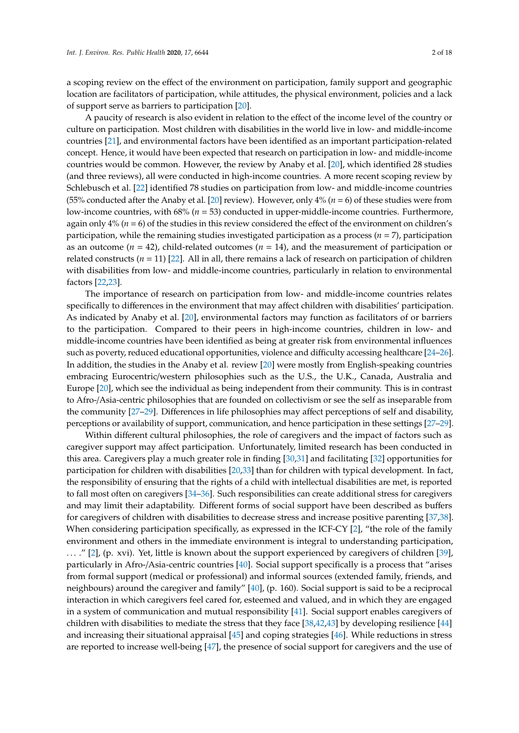a scoping review on the effect of the environment on participation, family support and geographic location are facilitators of participation, while attitudes, the physical environment, policies and a lack of support serve as barriers to participation [20].

A paucity of research is also evident in relation to the effect of the income level of the country or culture on participation. Most children with disabilities in the world live in low- and middle-income countries [21], and environmental factors have been identified as an important participation-related concept. Hence, it would have been expected that research on participation in low- and middle-income countries would be common. However, the review by Anaby et al. [20], which identified 28 studies (and three reviews), all were conducted in high-income countries. A more recent scoping review by Schlebusch et al. [22] identified 78 studies on participation from low- and middle-income countries (55% conducted after the Anaby et al. [20] review). However, only  $4\%$  ( $n = 6$ ) of these studies were from low-income countries, with 68% (*n* = 53) conducted in upper-middle-income countries. Furthermore, again only 4% (*n* = 6) of the studies in this review considered the effect of the environment on children's participation, while the remaining studies investigated participation as a process (*n* = 7), participation as an outcome (*n* = 42), child-related outcomes (*n* = 14), and the measurement of participation or related constructs  $(n = 11)$  [22]. All in all, there remains a lack of research on participation of children with disabilities from low- and middle-income countries, particularly in relation to environmental factors [22,23].

The importance of research on participation from low- and middle-income countries relates specifically to differences in the environment that may affect children with disabilities' participation. As indicated by Anaby et al. [20], environmental factors may function as facilitators of or barriers to the participation. Compared to their peers in high-income countries, children in low- and middle-income countries have been identified as being at greater risk from environmental influences such as poverty, reduced educational opportunities, violence and difficulty accessing healthcare [24–26]. In addition, the studies in the Anaby et al. review [20] were mostly from English-speaking countries embracing Eurocentric/western philosophies such as the U.S., the U.K., Canada, Australia and Europe [20], which see the individual as being independent from their community. This is in contrast to Afro-/Asia-centric philosophies that are founded on collectivism or see the self as inseparable from the community [27–29]. Differences in life philosophies may affect perceptions of self and disability, perceptions or availability of support, communication, and hence participation in these settings [27–29].

Within different cultural philosophies, the role of caregivers and the impact of factors such as caregiver support may affect participation. Unfortunately, limited research has been conducted in this area. Caregivers play a much greater role in finding [30,31] and facilitating [32] opportunities for participation for children with disabilities [20,33] than for children with typical development. In fact, the responsibility of ensuring that the rights of a child with intellectual disabilities are met, is reported to fall most often on caregivers [34–36]. Such responsibilities can create additional stress for caregivers and may limit their adaptability. Different forms of social support have been described as buffers for caregivers of children with disabilities to decrease stress and increase positive parenting [37,38]. When considering participation specifically, as expressed in the ICF-CY [2], "the role of the family environment and others in the immediate environment is integral to understanding participation, . . . ." [2], (p. xvi). Yet, little is known about the support experienced by caregivers of children [39], particularly in Afro-/Asia-centric countries [40]. Social support specifically is a process that "arises from formal support (medical or professional) and informal sources (extended family, friends, and neighbours) around the caregiver and family" [40], (p. 160). Social support is said to be a reciprocal interaction in which caregivers feel cared for, esteemed and valued, and in which they are engaged in a system of communication and mutual responsibility [41]. Social support enables caregivers of children with disabilities to mediate the stress that they face [38,42,43] by developing resilience [44] and increasing their situational appraisal [45] and coping strategies [46]. While reductions in stress are reported to increase well-being [47], the presence of social support for caregivers and the use of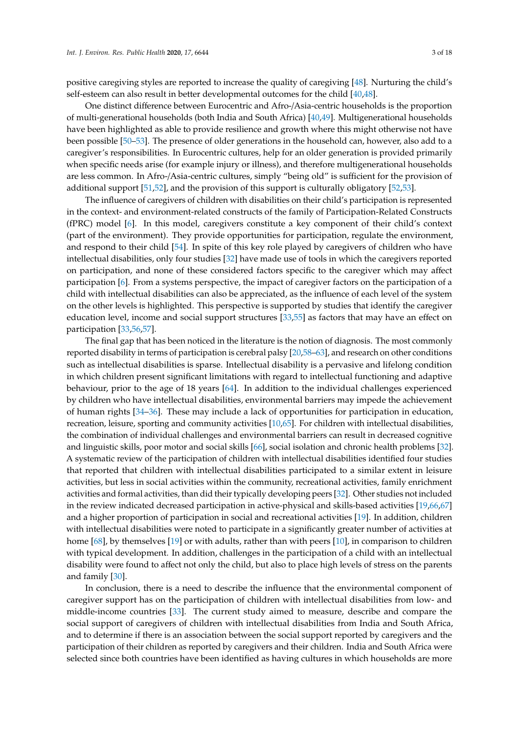positive caregiving styles are reported to increase the quality of caregiving [48]. Nurturing the child's self-esteem can also result in better developmental outcomes for the child [40,48].

One distinct difference between Eurocentric and Afro-/Asia-centric households is the proportion of multi-generational households (both India and South Africa) [40,49]. Multigenerational households have been highlighted as able to provide resilience and growth where this might otherwise not have been possible [50–53]. The presence of older generations in the household can, however, also add to a caregiver's responsibilities. In Eurocentric cultures, help for an older generation is provided primarily when specific needs arise (for example injury or illness), and therefore multigenerational households are less common. In Afro-/Asia-centric cultures, simply "being old" is sufficient for the provision of additional support [51,52], and the provision of this support is culturally obligatory [52,53].

The influence of caregivers of children with disabilities on their child's participation is represented in the context- and environment-related constructs of the family of Participation-Related Constructs (fPRC) model [6]. In this model, caregivers constitute a key component of their child's context (part of the environment). They provide opportunities for participation, regulate the environment, and respond to their child [54]. In spite of this key role played by caregivers of children who have intellectual disabilities, only four studies [32] have made use of tools in which the caregivers reported on participation, and none of these considered factors specific to the caregiver which may affect participation [6]. From a systems perspective, the impact of caregiver factors on the participation of a child with intellectual disabilities can also be appreciated, as the influence of each level of the system on the other levels is highlighted. This perspective is supported by studies that identify the caregiver education level, income and social support structures [33,55] as factors that may have an effect on participation [33,56,57].

The final gap that has been noticed in the literature is the notion of diagnosis. The most commonly reported disability in terms of participation is cerebral palsy [20,58–63], and research on other conditions such as intellectual disabilities is sparse. Intellectual disability is a pervasive and lifelong condition in which children present significant limitations with regard to intellectual functioning and adaptive behaviour, prior to the age of 18 years [64]. In addition to the individual challenges experienced by children who have intellectual disabilities, environmental barriers may impede the achievement of human rights [34–36]. These may include a lack of opportunities for participation in education, recreation, leisure, sporting and community activities [10,65]. For children with intellectual disabilities, the combination of individual challenges and environmental barriers can result in decreased cognitive and linguistic skills, poor motor and social skills [66], social isolation and chronic health problems [32]. A systematic review of the participation of children with intellectual disabilities identified four studies that reported that children with intellectual disabilities participated to a similar extent in leisure activities, but less in social activities within the community, recreational activities, family enrichment activities and formal activities, than did their typically developing peers [32]. Other studies not included in the review indicated decreased participation in active-physical and skills-based activities [19,66,67] and a higher proportion of participation in social and recreational activities [19]. In addition, children with intellectual disabilities were noted to participate in a significantly greater number of activities at home [68], by themselves [19] or with adults, rather than with peers [10], in comparison to children with typical development. In addition, challenges in the participation of a child with an intellectual disability were found to affect not only the child, but also to place high levels of stress on the parents and family [30].

In conclusion, there is a need to describe the influence that the environmental component of caregiver support has on the participation of children with intellectual disabilities from low- and middle-income countries [33]. The current study aimed to measure, describe and compare the social support of caregivers of children with intellectual disabilities from India and South Africa, and to determine if there is an association between the social support reported by caregivers and the participation of their children as reported by caregivers and their children. India and South Africa were selected since both countries have been identified as having cultures in which households are more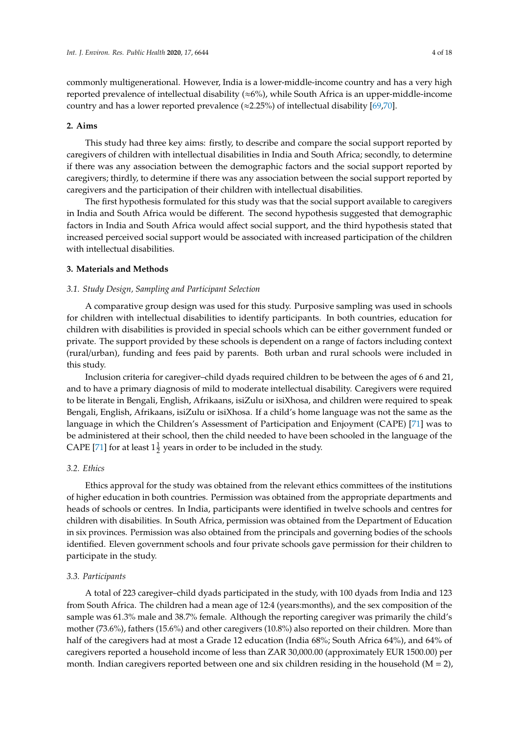commonly multigenerational. However, India is a lower-middle-income country and has a very high reported prevalence of intellectual disability (≈6%), while South Africa is an upper-middle-income country and has a lower reported prevalence ( $\approx$ 2.25%) of intellectual disability [69,70].

# **2. Aims**

This study had three key aims: firstly, to describe and compare the social support reported by caregivers of children with intellectual disabilities in India and South Africa; secondly, to determine if there was any association between the demographic factors and the social support reported by caregivers; thirdly, to determine if there was any association between the social support reported by caregivers and the participation of their children with intellectual disabilities.

The first hypothesis formulated for this study was that the social support available to caregivers in India and South Africa would be different. The second hypothesis suggested that demographic factors in India and South Africa would affect social support, and the third hypothesis stated that increased perceived social support would be associated with increased participation of the children with intellectual disabilities.

#### **3. Materials and Methods**

## *3.1. Study Design, Sampling and Participant Selection*

A comparative group design was used for this study. Purposive sampling was used in schools for children with intellectual disabilities to identify participants. In both countries, education for children with disabilities is provided in special schools which can be either government funded or private. The support provided by these schools is dependent on a range of factors including context (rural/urban), funding and fees paid by parents. Both urban and rural schools were included in this study.

Inclusion criteria for caregiver–child dyads required children to be between the ages of 6 and 21, and to have a primary diagnosis of mild to moderate intellectual disability. Caregivers were required to be literate in Bengali, English, Afrikaans, isiZulu or isiXhosa, and children were required to speak Bengali, English, Afrikaans, isiZulu or isiXhosa. If a child's home language was not the same as the language in which the Children's Assessment of Participation and Enjoyment (CAPE) [71] was to be administered at their school, then the child needed to have been schooled in the language of the CAPE [71] for at least  $1\frac{1}{2}$  years in order to be included in the study.

# *3.2. Ethics*

Ethics approval for the study was obtained from the relevant ethics committees of the institutions of higher education in both countries. Permission was obtained from the appropriate departments and heads of schools or centres. In India, participants were identified in twelve schools and centres for children with disabilities. In South Africa, permission was obtained from the Department of Education in six provinces. Permission was also obtained from the principals and governing bodies of the schools identified. Eleven government schools and four private schools gave permission for their children to participate in the study.

### *3.3. Participants*

A total of 223 caregiver–child dyads participated in the study, with 100 dyads from India and 123 from South Africa. The children had a mean age of 12:4 (years:months), and the sex composition of the sample was 61.3% male and 38.7% female. Although the reporting caregiver was primarily the child's mother (73.6%), fathers (15.6%) and other caregivers (10.8%) also reported on their children. More than half of the caregivers had at most a Grade 12 education (India 68%; South Africa 64%), and 64% of caregivers reported a household income of less than ZAR 30,000.00 (approximately EUR 1500.00) per month. Indian caregivers reported between one and six children residing in the household  $(M = 2)$ ,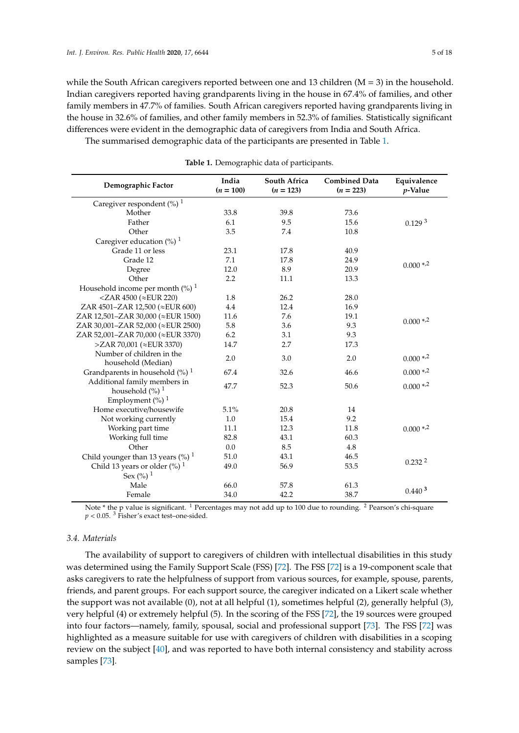while the South African caregivers reported between one and 13 children  $(M = 3)$  in the household. Indian caregivers reported having grandparents living in the house in 67.4% of families, and other family members in 47.7% of families. South African caregivers reported having grandparents living in the house in 32.6% of families, and other family members in 52.3% of families. Statistically significant differences were evident in the demographic data of caregivers from India and South Africa.

The summarised demographic data of the participants are presented in Table 1.

| Demographic Factor                              | India<br>$(n = 100)$ | <b>South Africa</b><br>$(n = 123)$ | <b>Combined Data</b><br>$(n = 223)$ | Equivalence<br><i>v</i> -Value |
|-------------------------------------------------|----------------------|------------------------------------|-------------------------------------|--------------------------------|
| Caregiver respondent (%) <sup>1</sup>           |                      |                                    |                                     |                                |
| Mother                                          | 33.8                 | 39.8                               | 73.6                                |                                |
| Father                                          | 6.1                  | 9.5                                | 15.6                                | 0.129 <sup>3</sup>             |
| Other                                           | 3.5                  | 7.4                                | 10.8                                |                                |
| Caregiver education $(\%)$ <sup>1</sup>         |                      |                                    |                                     |                                |
| Grade 11 or less                                | 23.1                 | 17.8                               | 40.9                                |                                |
| Grade 12                                        | 7.1                  | 17.8                               | 24.9                                |                                |
| Degree                                          | 12.0                 | 8.9                                | 20.9                                | $0.000$ * <sup>2</sup>         |
| Other                                           | 2.2                  | 11.1                               | 13.3                                |                                |
| Household income per month $(\%)$ <sup>1</sup>  |                      |                                    |                                     |                                |
| $<$ ZAR 4500 ( $\approx$ EUR 220)               | 1.8                  | 26.2                               | 28.0                                |                                |
| ZAR 4501-ZAR 12,500 (≈EUR 600)                  | 4.4                  | 12.4                               | 16.9                                |                                |
| ZAR 12,501-ZAR 30,000 (≈EUR 1500)               | 11.6                 | 7.6                                | 19.1                                | $0.000$ *.2                    |
| ZAR 30,001-ZAR 52,000 (≈EUR 2500)               | 5.8                  | 3.6                                | 9.3                                 |                                |
| ZAR 52,001-ZAR 70,000 (≈EUR 3370)               | 6.2                  | 3.1                                | 9.3                                 |                                |
| >ZAR 70,001 (≈EUR 3370)                         | 14.7                 | 2.7                                | 17.3                                |                                |
| Number of children in the                       | 2.0                  | 3.0                                | 2.0                                 | $0.000$ * $^{2}$               |
| household (Median)                              |                      |                                    |                                     |                                |
| Grandparents in household $(\%)$ <sup>1</sup>   | 67.4                 | 32.6                               | 46.6                                | $0.000$ * $^{2}$               |
| Additional family members in                    | 47.7                 | 52.3                               | 50.6                                | $0.000$ * $2$                  |
| household $(\%)$ <sup>1</sup>                   |                      |                                    |                                     |                                |
| Employment $(\%)$ <sup>1</sup>                  |                      |                                    |                                     |                                |
| Home executive/housewife                        | 5.1%                 | 20.8                               | 14                                  |                                |
| Not working currently                           | 1.0                  | 15.4                               | 9.2                                 |                                |
| Working part time                               | 11.1                 | 12.3                               | 11.8                                | $0.000$ * $2$                  |
| Working full time                               | 82.8                 | 43.1                               | 60.3                                |                                |
| Other                                           | 0.0                  | 8.5                                | 4.8                                 |                                |
| Child younger than 13 years $(\%)$ <sup>1</sup> | 51.0                 | 43.1                               | 46.5                                | 0.232 <sup>2</sup>             |
| Child 13 years or older $(\%)$ <sup>1</sup>     | 49.0                 | 56.9                               | 53.5                                |                                |
| Sex $(\%)^1$                                    |                      |                                    |                                     |                                |
| Male                                            | 66.0                 | 57.8                               | 61.3                                | 0.440 <sup>3</sup>             |
| Female                                          | 34.0                 | 42.2                               | 38.7                                |                                |

| Table 1. Demographic data of participants. |  |
|--------------------------------------------|--|
|--------------------------------------------|--|

Note \* the p value is significant. <sup>1</sup> Percentages may not add up to 100 due to rounding. <sup>2</sup> Pearson's chi-square *p* < 0.05. <sup>3</sup> Fisher's exact test–one-sided.

# *3.4. Materials*

The availability of support to caregivers of children with intellectual disabilities in this study was determined using the Family Support Scale (FSS) [72]. The FSS [72] is a 19-component scale that asks caregivers to rate the helpfulness of support from various sources, for example, spouse, parents, friends, and parent groups. For each support source, the caregiver indicated on a Likert scale whether the support was not available (0), not at all helpful (1), sometimes helpful (2), generally helpful (3), very helpful (4) or extremely helpful (5). In the scoring of the FSS [72], the 19 sources were grouped into four factors—namely, family, spousal, social and professional support [73]. The FSS [72] was highlighted as a measure suitable for use with caregivers of children with disabilities in a scoping review on the subject [40], and was reported to have both internal consistency and stability across samples [73].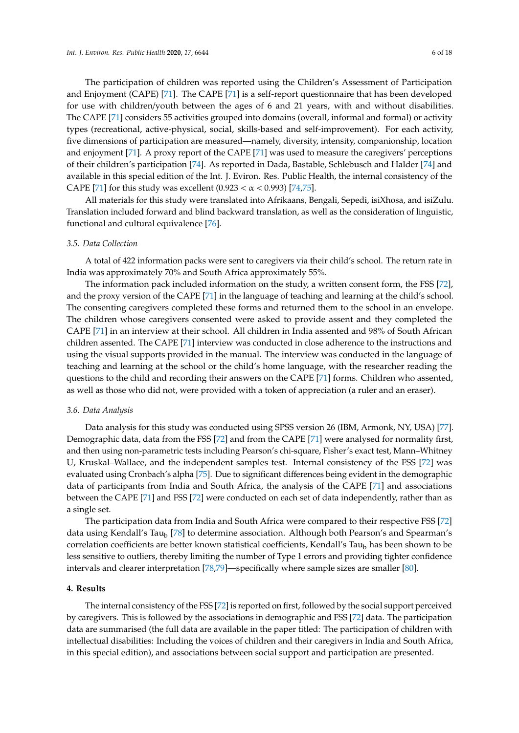The participation of children was reported using the Children's Assessment of Participation and Enjoyment (CAPE) [71]. The CAPE [71] is a self-report questionnaire that has been developed for use with children/youth between the ages of 6 and 21 years, with and without disabilities. The CAPE [71] considers 55 activities grouped into domains (overall, informal and formal) or activity types (recreational, active-physical, social, skills-based and self-improvement). For each activity, five dimensions of participation are measured—namely, diversity, intensity, companionship, location and enjoyment [71]. A proxy report of the CAPE [71] was used to measure the caregivers' perceptions of their children's participation [74]. As reported in Dada, Bastable, Schlebusch and Halder [74] and available in this special edition of the Int. J. Eviron. Res. Public Health, the internal consistency of the CAPE [71] for this study was excellent (0.923 <  $\alpha$  < 0.993) [74,75].

All materials for this study were translated into Afrikaans, Bengali, Sepedi, isiXhosa, and isiZulu. Translation included forward and blind backward translation, as well as the consideration of linguistic, functional and cultural equivalence [76].

## *3.5. Data Collection*

A total of 422 information packs were sent to caregivers via their child's school. The return rate in India was approximately 70% and South Africa approximately 55%.

The information pack included information on the study, a written consent form, the FSS [72], and the proxy version of the CAPE [71] in the language of teaching and learning at the child's school. The consenting caregivers completed these forms and returned them to the school in an envelope. The children whose caregivers consented were asked to provide assent and they completed the CAPE [71] in an interview at their school. All children in India assented and 98% of South African children assented. The CAPE [71] interview was conducted in close adherence to the instructions and using the visual supports provided in the manual. The interview was conducted in the language of teaching and learning at the school or the child's home language, with the researcher reading the questions to the child and recording their answers on the CAPE [71] forms. Children who assented, as well as those who did not, were provided with a token of appreciation (a ruler and an eraser).

#### *3.6. Data Analysis*

Data analysis for this study was conducted using SPSS version 26 (IBM, Armonk, NY, USA) [77]. Demographic data, data from the FSS [72] and from the CAPE [71] were analysed for normality first, and then using non-parametric tests including Pearson's chi-square, Fisher's exact test, Mann–Whitney U, Kruskal–Wallace, and the independent samples test. Internal consistency of the FSS [72] was evaluated using Cronbach's alpha [75]. Due to significant differences being evident in the demographic data of participants from India and South Africa, the analysis of the CAPE [71] and associations between the CAPE [71] and FSS [72] were conducted on each set of data independently, rather than as a single set.

The participation data from India and South Africa were compared to their respective FSS [72] data using Kendall's Tau<sub>b</sub> [78] to determine association. Although both Pearson's and Spearman's correlation coefficients are better known statistical coefficients, Kendall's Tau<sub>b</sub> has been shown to be less sensitive to outliers, thereby limiting the number of Type 1 errors and providing tighter confidence intervals and clearer interpretation [78,79]—specifically where sample sizes are smaller [80].

## **4. Results**

The internal consistency of the FSS [72] is reported on first, followed by the social support perceived by caregivers. This is followed by the associations in demographic and FSS [72] data. The participation data are summarised (the full data are available in the paper titled: The participation of children with intellectual disabilities: Including the voices of children and their caregivers in India and South Africa, in this special edition), and associations between social support and participation are presented.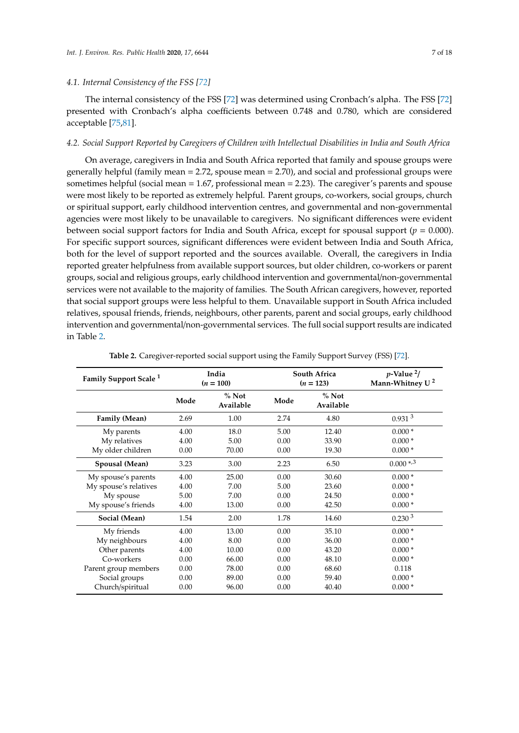#### *4.1. Internal Consistency of the FSS [72]*

The internal consistency of the FSS [72] was determined using Cronbach's alpha. The FSS [72] presented with Cronbach's alpha coefficients between 0.748 and 0.780, which are considered acceptable [75,81].

#### *4.2. Social Support Reported by Caregivers of Children with Intellectual Disabilities in India and South Africa*

On average, caregivers in India and South Africa reported that family and spouse groups were generally helpful (family mean = 2.72, spouse mean = 2.70), and social and professional groups were sometimes helpful (social mean = 1.67, professional mean = 2.23). The caregiver's parents and spouse were most likely to be reported as extremely helpful. Parent groups, co-workers, social groups, church or spiritual support, early childhood intervention centres, and governmental and non-governmental agencies were most likely to be unavailable to caregivers. No significant differences were evident between social support factors for India and South Africa, except for spousal support (*p* = 0.000). For specific support sources, significant differences were evident between India and South Africa, both for the level of support reported and the sources available. Overall, the caregivers in India reported greater helpfulness from available support sources, but older children, co-workers or parent groups, social and religious groups, early childhood intervention and governmental/non-governmental services were not available to the majority of families. The South African caregivers, however, reported that social support groups were less helpful to them. Unavailable support in South Africa included relatives, spousal friends, friends, neighbours, other parents, parent and social groups, early childhood intervention and governmental/non-governmental services. The full social support results are indicated in Table 2.

| Family Support Scale <sup>1</sup>                                                                                       |                                                      | India<br>$(n = 100)$                                       |                                                      | South Africa<br>$(n = 123)$                                 | $p$ -Value $\frac{2}{7}$<br>Mann-Whitney U <sup>2</sup>                       |
|-------------------------------------------------------------------------------------------------------------------------|------------------------------------------------------|------------------------------------------------------------|------------------------------------------------------|-------------------------------------------------------------|-------------------------------------------------------------------------------|
|                                                                                                                         | Mode                                                 | $%$ Not<br>Available                                       | Mode                                                 | $%$ Not<br>Available                                        |                                                                               |
| <b>Family (Mean)</b>                                                                                                    | 2.69                                                 | 1.00                                                       | 2.74                                                 | 4.80                                                        | 0.931 <sup>3</sup>                                                            |
| My parents<br>My relatives<br>My older children                                                                         | 4.00<br>4.00<br>0.00                                 | 18.0<br>5.00<br>70.00                                      | 5.00<br>0.00<br>0.00                                 | 12.40<br>33.90<br>19.30                                     | $0.000*$<br>$0.000*$<br>$0.000*$                                              |
| Spousal (Mean)                                                                                                          | 3.23                                                 | 3.00                                                       | 2.23                                                 | 6.50                                                        | $0.000$ *, 3                                                                  |
| My spouse's parents<br>My spouse's relatives<br>My spouse<br>My spouse's friends                                        | 4.00<br>4.00<br>5.00<br>4.00                         | 25.00<br>7.00<br>7.00<br>13.00                             | 0.00<br>5.00<br>0.00<br>0.00                         | 30.60<br>23.60<br>24.50<br>42.50                            | $0.000*$<br>$0.000*$<br>$0.000*$<br>$0.000*$                                  |
| Social (Mean)                                                                                                           | 1.54                                                 | 2.00                                                       | 1.78                                                 | 14.60                                                       | 0.230 <sup>3</sup>                                                            |
| My friends<br>My neighbours<br>Other parents<br>Co-workers<br>Parent group members<br>Social groups<br>Church/spiritual | 4.00<br>4.00<br>4.00<br>0.00<br>0.00<br>0.00<br>0.00 | 13.00<br>8.00<br>10.00<br>66.00<br>78.00<br>89.00<br>96.00 | 0.00<br>0.00<br>0.00<br>0.00<br>0.00<br>0.00<br>0.00 | 35.10<br>36.00<br>43.20<br>48.10<br>68.60<br>59.40<br>40.40 | $0.000*$<br>$0.000*$<br>$0.000*$<br>$0.000*$<br>0.118<br>$0.000*$<br>$0.000*$ |

|  | Table 2. Caregiver-reported social support using the Family Support Survey (FSS) [72]. |  |  |
|--|----------------------------------------------------------------------------------------|--|--|
|  |                                                                                        |  |  |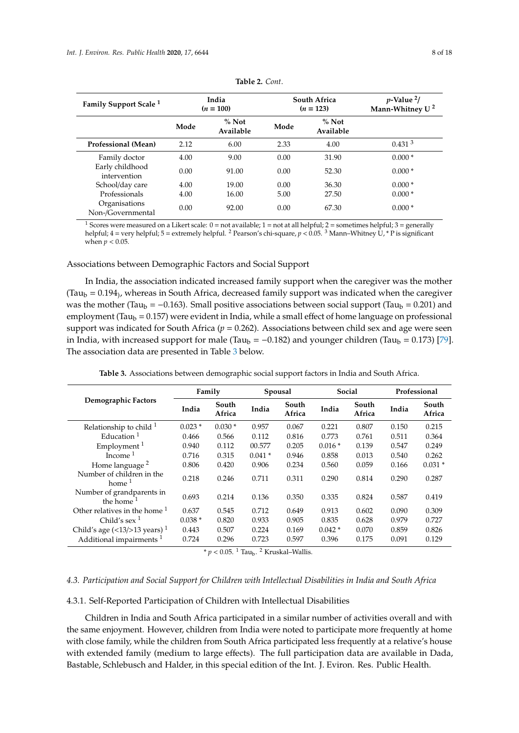| Family Support Scale <sup>1</sup>  | India<br>$(n = 100)$ |                      |      | South Africa<br>$(n = 123)$ | $p$ -Value $\frac{2}{l}$<br>Mann-Whitney U <sup>2</sup> |
|------------------------------------|----------------------|----------------------|------|-----------------------------|---------------------------------------------------------|
|                                    | Mode                 | $%$ Not<br>Available | Mode | $%$ Not<br>Available        |                                                         |
| Professional (Mean)                | 2.12                 | 6.00                 | 2.33 | 4.00                        | 0.431 <sup>3</sup>                                      |
| Family doctor                      | 4.00                 | 9.00                 | 0.00 | 31.90                       | $0.000*$                                                |
| Early childhood<br>intervention    | 0.00                 | 91.00                | 0.00 | 52.30                       | $0.000*$                                                |
| School/day care                    | 4.00                 | 19.00                | 0.00 | 36.30                       | $0.000*$                                                |
| Professionals                      | 4.00                 | 16.00                | 5.00 | 27.50                       | $0.000*$                                                |
| Organisations<br>Non-/Governmental | 0.00                 | 92.00                | 0.00 | 67.30                       | $0.000*$                                                |

**Table 2.** *Cont*.

<sup>1</sup> Scores were measured on a Likert scale:  $0 =$  not available;  $1 =$  not at all helpful;  $2 =$  sometimes helpful;  $3 =$  generally helpful; 4 = very helpful; 5 = extremely helpful. <sup>2</sup> Pearson's chi-square, *p* < 0.05. <sup>3</sup> Mann–Whitney U, \* P is significant when *p* < 0.05.

#### Associations between Demographic Factors and Social Support

In India, the association indicated increased family support when the caregiver was the mother (Tau<sub>b</sub> =  $0.194$ ), whereas in South Africa, decreased family support was indicated when the caregiver was the mother (Tau<sub>b</sub> = −0.163). Small positive associations between social support (Tau<sub>b</sub> = 0.201) and employment (Tau $_b$  = 0.157) were evident in India, while a small effect of home language on professional support was indicated for South Africa ( $p = 0.262$ ). Associations between child sex and age were seen in India, with increased support for male (Tau<sub>b</sub> = -0.182) and younger children (Tau<sub>b</sub> = 0.173) [79]. The association data are presented in Table 3 below.

|                                                      | Family   |                 | Spousal  |                 | Social   |                 | Professional |                 |
|------------------------------------------------------|----------|-----------------|----------|-----------------|----------|-----------------|--------------|-----------------|
| Demographic Factors                                  | India    | South<br>Africa | India    | South<br>Africa | India    | South<br>Africa | India        | South<br>Africa |
| Relationship to child $1$                            | $0.023*$ | $0.030*$        | 0.957    | 0.067           | 0.221    | 0.807           | 0.150        | 0.215           |
| Education $1$                                        | 0.466    | 0.566           | 0.112    | 0.816           | 0.773    | 0.761           | 0.511        | 0.364           |
| Employment <sup>1</sup>                              | 0.940    | 0.112           | 00.577   | 0.205           | $0.016*$ | 0.139           | 0.547        | 0.249           |
| Income $1$                                           | 0.716    | 0.315           | $0.041*$ | 0.946           | 0.858    | 0.013           | 0.540        | 0.262           |
| Home language <sup>2</sup>                           | 0.806    | 0.420           | 0.906    | 0.234           | 0.560    | 0.059           | 0.166        | $0.031*$        |
| Number of children in the<br>home $1$                | 0.218    | 0.246           | 0.711    | 0.311           | 0.290    | 0.814           | 0.290        | 0.287           |
| Number of grandparents in<br>the home $1$            | 0.693    | 0.214           | 0.136    | 0.350           | 0.335    | 0.824           | 0.587        | 0.419           |
| Other relatives in the home $1$                      | 0.637    | 0.545           | 0.712    | 0.649           | 0.913    | 0.602           | 0.090        | 0.309           |
| Child's sex $1$                                      | $0.038*$ | 0.820           | 0.933    | 0.905           | 0.835    | 0.628           | 0.979        | 0.727           |
| Child's age $\left($ < 13/> > 13 years) <sup>1</sup> | 0.443    | 0.507           | 0.224    | 0.169           | $0.042*$ | 0.070           | 0.859        | 0.826           |
| Additional impairments <sup>1</sup>                  | 0.724    | 0.296           | 0.723    | 0.597           | 0.396    | 0.175           | 0.091        | 0.129           |

**Table 3.** Associations between demographic social support factors in India and South Africa.

 $* p < 0.05$ . <sup>1</sup> Tau<sub>b</sub>. <sup>2</sup> Kruskal–Wallis.

## *4.3. Participation and Social Support for Children with Intellectual Disabilities in India and South Africa*

#### 4.3.1. Self-Reported Participation of Children with Intellectual Disabilities

Children in India and South Africa participated in a similar number of activities overall and with the same enjoyment. However, children from India were noted to participate more frequently at home with close family, while the children from South Africa participated less frequently at a relative's house with extended family (medium to large effects). The full participation data are available in Dada, Bastable, Schlebusch and Halder, in this special edition of the Int. J. Eviron. Res. Public Health.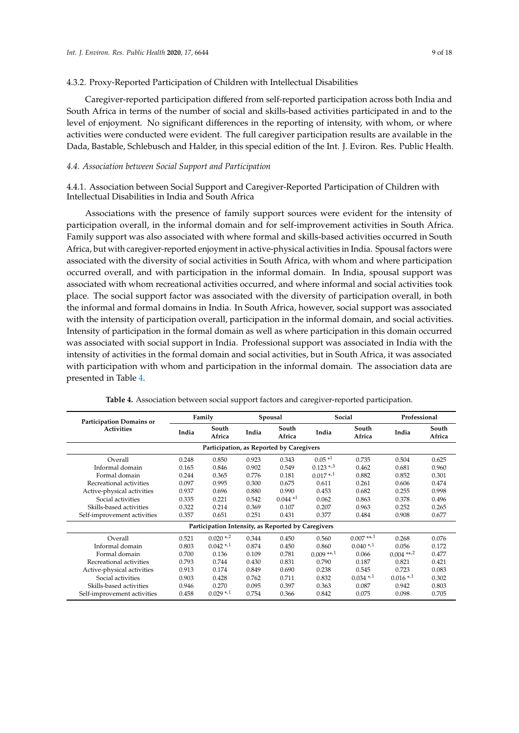#### 4.3.2. Proxy-Reported Participation of Children with Intellectual Disabilities

Caregiver-reported participation differed from self-reported participation across both India and South Africa in terms of the number of social and skills-based activities participated in and to the level of enjoyment. No significant differences in the reporting of intensity, with whom, or where activities were conducted were evident. The full caregiver participation results are available in the Dada, Bastable, Schlebusch and Halder, in this special edition of the Int. J. Eviron. Res. Public Health.

# *4.4. Association between Social Support and Participation*

4.4.1. Association between Social Support and Caregiver-Reported Participation of Children with Intellectual Disabilities in India and South Africa

Associations with the presence of family support sources were evident for the intensity of participation overall, in the informal domain and for self-improvement activities in South Africa. Family support was also associated with where formal and skills-based activities occurred in South Africa, but with caregiver-reported enjoyment in active-physical activities in India. Spousal factors were associated with the diversity of social activities in South Africa, with whom and where participation occurred overall, and with participation in the informal domain. In India, spousal support was associated with whom recreational activities occurred, and where informal and social activities took place. The social support factor was associated with the diversity of participation overall, in both the informal and formal domains in India. In South Africa, however, social support was associated with the intensity of participation overall, participation in the informal domain, and social activities. Intensity of participation in the formal domain as well as where participation in this domain occurred was associated with social support in India. Professional support was associated in India with the intensity of activities in the formal domain and social activities, but in South Africa, it was associated with participation with whom and participation in the informal domain. The association data are presented in Table 4.

| <b>Participation Domains or</b> |       | Family                                             |       | Spousal         |                        | Social                 |                        | Professional    |  |
|---------------------------------|-------|----------------------------------------------------|-------|-----------------|------------------------|------------------------|------------------------|-----------------|--|
| Activities                      | India | South<br>Africa                                    | India | South<br>Africa | India                  | South<br>Africa        | India                  | South<br>Africa |  |
|                                 |       | Participation, as Reported by Caregivers           |       |                 |                        |                        |                        |                 |  |
| Overall                         | 0.248 | 0.850                                              | 0.923 | 0.343           | $0.05*1$               | 0.735                  | 0.504                  | 0.625           |  |
| Informal domain                 | 0.165 | 0.846                                              | 0.902 | 0.549           | $0.123$ <sup>*,3</sup> | 0.462                  | 0.681                  | 0.960           |  |
| Formal domain                   | 0.244 | 0.365                                              | 0.776 | 0.181           | $0.017$ <sup>*,1</sup> | 0.882                  | 0.852                  | 0.301           |  |
| Recreational activities         | 0.097 | 0.995                                              | 0.300 | 0.675           | 0.611                  | 0.261                  | 0.606                  | 0.474           |  |
| Active-physical activities      | 0.937 | 0.696                                              | 0.880 | 0.990           | 0.453                  | 0.682                  | 0.255                  | 0.998           |  |
| Social activities               | 0.335 | 0.221                                              | 0.542 | $0.044*1$       | 0.062                  | 0.863                  | 0.378                  | 0.496           |  |
| Skills-based activities         | 0.322 | 0.214                                              | 0.369 | 0.107           | 0.207                  | 0.963                  | 0.252                  | 0.265           |  |
| Self-improvement activities     | 0.357 | 0.651                                              | 0.251 | 0.431           | 0.377                  | 0.484                  | 0.908                  | 0.677           |  |
|                                 |       | Participation Intensity, as Reported by Caregivers |       |                 |                        |                        |                        |                 |  |
| Overall                         | 0.521 | $0.020$ * <sup>2</sup>                             | 0.344 | 0.450           | 0.560                  | $0.007$ **,1           | 0.268                  | 0.076           |  |
| Informal domain                 | 0.803 | $0.042$ <sup>*,1</sup>                             | 0.874 | 0.450           | 0.860                  | $0.040$ <sup>*/1</sup> | 0.056                  | 0.172           |  |
| Formal domain                   | 0.700 | 0.136                                              | 0.109 | 0.781           | $0.009$ **,1           | 0.066                  | $0.004$ **,2           | 0.477           |  |
| Recreational activities         | 0.793 | 0.744                                              | 0.430 | 0.831           | 0.790                  | 0.187                  | 0.821                  | 0.421           |  |
| Active-physical activities      | 0.913 | 0.174                                              | 0.849 | 0.690           | 0.238                  | 0.545                  | 0.723                  | 0.083           |  |
| Social activities               | 0.903 | 0.428                                              | 0.762 | 0.711           | 0.832                  | $0.034$ */1            | $0.016$ <sup>*,1</sup> | 0.302           |  |
| Skills-based activities         | 0.946 | 0.270                                              | 0.095 | 0.397           | 0.363                  | 0.087                  | 0.942                  | 0.803           |  |
| Self-improvement activities     | 0.458 | $0.029$ */1                                        | 0.754 | 0.366           | 0.842                  | 0.075                  | 0.098                  | 0.705           |  |

**Table 4.** Association between social support factors and caregiver-reported participation.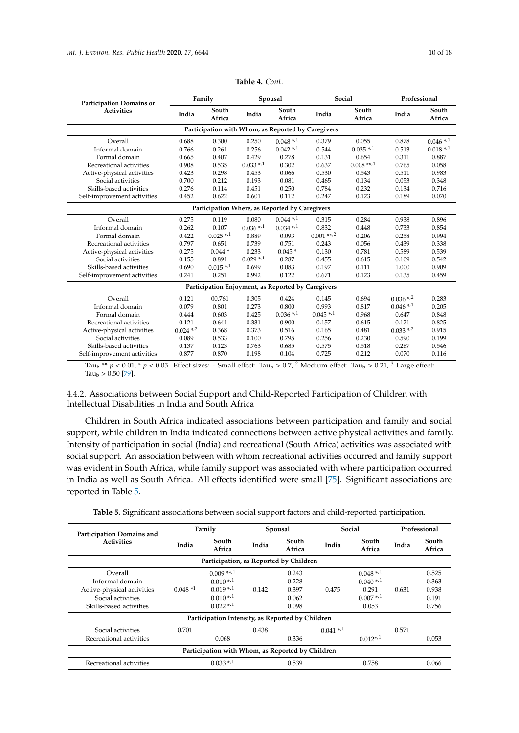| <b>Participation Domains or</b>                |                                                    | Family                 |                        | Spousal                                            |                        | Social                 |                         | Professional           |  |  |
|------------------------------------------------|----------------------------------------------------|------------------------|------------------------|----------------------------------------------------|------------------------|------------------------|-------------------------|------------------------|--|--|
| <b>Activities</b>                              | India                                              | South<br>Africa        | India                  | South<br>Africa                                    | India                  | South<br>Africa        | India                   | South<br>Africa        |  |  |
|                                                | Participation with Whom, as Reported by Caregivers |                        |                        |                                                    |                        |                        |                         |                        |  |  |
| Overall                                        | 0.688                                              | 0.300                  | 0.250                  | $0.048$ <sup>*/1</sup>                             | 0.379                  | 0.055                  | 0.878                   | $0.046$ <sup>*/1</sup> |  |  |
| Informal domain                                | 0.766                                              | 0.261                  | 0.256                  | $0.042$ <sup>*,1</sup>                             | 0.544                  | $0.035$ <sup>*/1</sup> | 0.513                   | $0.018$ <sup>*/1</sup> |  |  |
| Formal domain                                  | 0.665                                              | 0.407                  | 0.429                  | 0.278                                              | 0.131                  | 0.654                  | 0.311                   | 0.887                  |  |  |
| Recreational activities                        | 0.908                                              | 0.535                  | $0.033$ *, 1           | 0.302                                              | 0.637                  | $0.008$ ** $,1$        | 0.765                   | 0.058                  |  |  |
| Active-physical activities                     | 0.423                                              | 0.298                  | 0.453                  | 0.066                                              | 0.530                  | 0.543                  | 0.511                   | 0.983                  |  |  |
| Social activities                              | 0.700                                              | 0.212                  | 0.193                  | 0.081                                              | 0.465                  | 0.134                  | 0.053                   | 0.348                  |  |  |
| Skills-based activities                        | 0.276                                              | 0.114                  | 0.451                  | 0.250                                              | 0.784                  | 0.232                  | 0.134                   | 0.716                  |  |  |
| Self-improvement activities                    | 0.452                                              | 0.622                  | 0.601                  | 0.112                                              | 0.247                  | 0.123                  | 0.189                   | 0.070                  |  |  |
| Participation Where, as Reported by Caregivers |                                                    |                        |                        |                                                    |                        |                        |                         |                        |  |  |
| Overall                                        | 0.275                                              | 0.119                  | 0.080                  | $0.044$ <sup>*,1</sup>                             | 0.315                  | 0.284                  | 0.938                   | 0.896                  |  |  |
| Informal domain                                | 0.262                                              | 0.107                  | $0.036$ */1            | $0.034$ <sup>*,1</sup>                             | 0.832                  | 0.448                  | 0.733                   | 0.854                  |  |  |
| Formal domain                                  | 0.422                                              | $0.025$ <sup>*/1</sup> | 0.889                  | 0.093                                              | $0.001$ **,2           | 0.206                  | 0.258                   | 0.994                  |  |  |
| Recreational activities                        | 0.797                                              | 0.651                  | 0.739                  | 0.751                                              | 0.243                  | 0.056                  | 0.439                   | 0.338                  |  |  |
| Active-physical activities                     | 0.275                                              | $0.044*$               | 0.233                  | $0.045*$                                           | 0.130                  | 0.781                  | 0.589                   | 0.539                  |  |  |
| Social activities                              | 0.155                                              | 0.891                  | $0.029$ <sup>*,1</sup> | 0.287                                              | 0.455                  | 0.615                  | 0.109                   | 0.542                  |  |  |
| Skills-based activities                        | 0.690                                              | $0.015$ <sup>*/1</sup> | 0.699                  | 0.083                                              | 0.197                  | 0.111                  | 1.000                   | 0.909                  |  |  |
| Self-improvement activities                    | 0.241                                              | 0.251                  | 0.992                  | 0.122                                              | 0.671                  | 0.123                  | 0.135                   | 0.459                  |  |  |
|                                                |                                                    |                        |                        | Participation Enjoyment, as Reported by Caregivers |                        |                        |                         |                        |  |  |
| Overall                                        | 0.121                                              | 00.761                 | 0.305                  | 0.424                                              | 0.145                  | 0.694                  | $0.036$ */2             | 0.283                  |  |  |
| Informal domain                                | 0.079                                              | 0.801                  | 0.273                  | 0.800                                              | 0.993                  | 0.817                  | $0.046$ */1             | 0.205                  |  |  |
| Formal domain                                  | 0.444                                              | 0.603                  | 0.425                  | $0.036$ <sup>*,1</sup>                             | $0.045$ <sup>*/1</sup> | 0.968                  | 0.647                   | 0.848                  |  |  |
| Recreational activities                        | 0.121                                              | 0.641                  | 0.331                  | 0.900                                              | 0.157                  | 0.615                  | 0.121                   | 0.825                  |  |  |
| Active-physical activities                     | $0.024$ <sup>*/2</sup>                             | 0.368                  | 0.373                  | 0.516                                              | 0.165                  | 0.481                  | $0.033$ *, <sup>2</sup> | 0.915                  |  |  |
| Social activities                              | 0.089                                              | 0.533                  | 0.100                  | 0.795                                              | 0.256                  | 0.230                  | 0.590                   | 0.199                  |  |  |
| Skills-based activities                        | 0.137                                              | 0.123                  | 0.763                  | 0.685                                              | 0.575                  | 0.518                  | 0.267                   | 0.546                  |  |  |
| Self-improvement activities                    | 0.877                                              | 0.870                  | 0.198                  | 0.104                                              | 0.725                  | 0.212                  | 0.070                   | 0.116                  |  |  |

**Table 4.** *Cont*.

Tau<sub>b</sub> \*\*  $p < 0.01$ , \*  $p < 0.05$ . Effect sizes: <sup>1</sup> Small effect: Tau<sub>b</sub> > 0.7, <sup>2</sup> Medium effect: Tau<sub>b</sub> > 0.21, <sup>3</sup> Large effect: Tau<sub>b</sub>  $> 0.50$  [79].

4.4.2. Associations between Social Support and Child-Reported Participation of Children with Intellectual Disabilities in India and South Africa

Children in South Africa indicated associations between participation and family and social support, while children in India indicated connections between active physical activities and family. Intensity of participation in social (India) and recreational (South Africa) activities was associated with social support. An association between with whom recreational activities occurred and family support was evident in South Africa, while family support was associated with where participation occurred in India as well as South Africa. All effects identified were small [75]. Significant associations are reported in Table 5.

**Table 5.** Significant associations between social support factors and child-reported participation.

| Participation Domains and  |           | Family                                           |       | Spousal         |                        | Social                 | Professional |                 |
|----------------------------|-----------|--------------------------------------------------|-------|-----------------|------------------------|------------------------|--------------|-----------------|
| <b>Activities</b>          | India     | South<br>Africa                                  | India | South<br>Africa | India                  | South<br>Africa        | India        | South<br>Africa |
|                            |           | Participation, as Reported by Children           |       |                 |                        |                        |              |                 |
| Overall                    |           | $0.009$ **, 1                                    |       | 0.243           |                        | $0.048$ <sup>*,1</sup> |              | 0.525           |
| Informal domain            |           | $0.010$ <sup>*,1</sup>                           |       | 0.228           |                        | $0.040$ <sup>*,1</sup> |              | 0.363           |
| Active-physical activities | $0.048*1$ | $0.019$ <sup>*/1</sup>                           | 0.142 | 0.397           | 0.475                  | 0.291                  | 0.631        | 0.938           |
| Social activities          |           | $0.010$ <sup>*,1</sup>                           |       | 0.062           |                        | $0.007$ <sup>*,1</sup> |              | 0.191           |
| Skills-based activities    |           | $0.022$ <sup>*,1</sup>                           |       | 0.098           |                        | 0.053                  |              | 0.756           |
|                            |           | Participation Intensity, as Reported by Children |       |                 |                        |                        |              |                 |
| Social activities          | 0.701     |                                                  | 0.438 |                 | $0.041$ <sup>*/1</sup> |                        | 0.571        |                 |
| Recreational activities    |           | 0.068                                            |       | 0.336           |                        | $0.012^{*,1}$          |              | 0.053           |
|                            |           | Participation with Whom, as Reported by Children |       |                 |                        |                        |              |                 |
| Recreational activities    |           | $0.033$ <sup>*,1</sup>                           |       | 0.539           |                        | 0.758                  |              | 0.066           |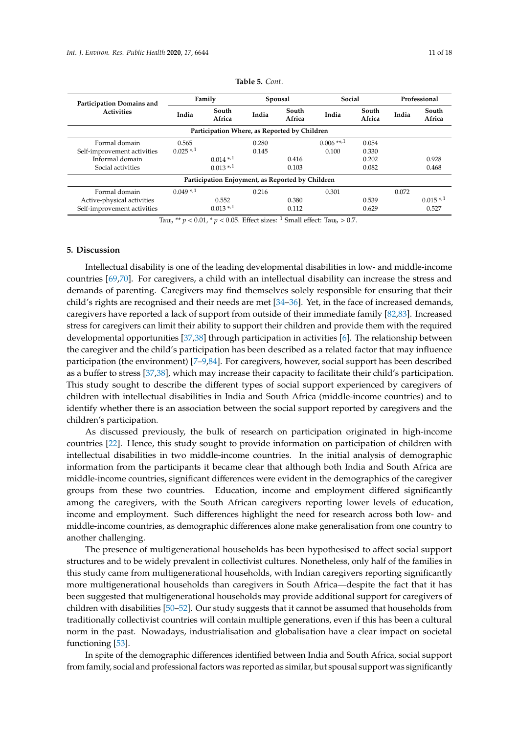| Participation Domains and   |                                   | Family                                           |       | Spousal         |                   | Social          |       | Professional           |  |
|-----------------------------|-----------------------------------|--------------------------------------------------|-------|-----------------|-------------------|-----------------|-------|------------------------|--|
| <b>Activities</b>           | South<br>India<br>India<br>Africa | South<br>Africa                                  | India | South<br>Africa | India             | South<br>Africa |       |                        |  |
|                             |                                   | Participation Where, as Reported by Children     |       |                 |                   |                 |       |                        |  |
| Formal domain               | 0.565                             |                                                  | 0.280 |                 | $0.006$ ** $^{1}$ | 0.054           |       |                        |  |
| Self-improvement activities | $0.025$ <sup>*/1</sup>            |                                                  | 0.145 |                 | 0.100             | 0.330           |       |                        |  |
| Informal domain             |                                   | $0.014$ <sup>*/1</sup>                           |       | 0.416           |                   | 0.202           |       | 0.928                  |  |
| Social activities           |                                   | $0.013$ <sup>*/1</sup>                           |       | 0.103           |                   | 0.082           |       | 0.468                  |  |
|                             |                                   | Participation Enjoyment, as Reported by Children |       |                 |                   |                 |       |                        |  |
| Formal domain               | $0.049$ <sup>*,1</sup>            |                                                  | 0.216 |                 | 0.301             |                 | 0.072 |                        |  |
| Active-physical activities  |                                   | 0.552                                            |       | 0.380           |                   | 0.539           |       | $0.015$ <sup>*/1</sup> |  |
| Self-improvement activities |                                   | $0.013$ <sup>*/1</sup>                           |       | 0.112           |                   | 0.629           |       | 0.527                  |  |

**Table 5.** *Cont*.

Tau<sub>b</sub> \*\*  $p < 0.01$ , \*  $p < 0.05$ . Effect sizes: <sup>1</sup> Small effect: Tau<sub>b</sub> > 0.7.

#### **5. Discussion**

Intellectual disability is one of the leading developmental disabilities in low- and middle-income countries [69,70]. For caregivers, a child with an intellectual disability can increase the stress and demands of parenting. Caregivers may find themselves solely responsible for ensuring that their child's rights are recognised and their needs are met [34–36]. Yet, in the face of increased demands, caregivers have reported a lack of support from outside of their immediate family [82,83]. Increased stress for caregivers can limit their ability to support their children and provide them with the required developmental opportunities [37,38] through participation in activities [6]. The relationship between the caregiver and the child's participation has been described as a related factor that may influence participation (the environment) [7–9,84]. For caregivers, however, social support has been described as a buffer to stress [37,38], which may increase their capacity to facilitate their child's participation. This study sought to describe the different types of social support experienced by caregivers of children with intellectual disabilities in India and South Africa (middle-income countries) and to identify whether there is an association between the social support reported by caregivers and the children's participation.

As discussed previously, the bulk of research on participation originated in high-income countries [22]. Hence, this study sought to provide information on participation of children with intellectual disabilities in two middle-income countries. In the initial analysis of demographic information from the participants it became clear that although both India and South Africa are middle-income countries, significant differences were evident in the demographics of the caregiver groups from these two countries. Education, income and employment differed significantly among the caregivers, with the South African caregivers reporting lower levels of education, income and employment. Such differences highlight the need for research across both low- and middle-income countries, as demographic differences alone make generalisation from one country to another challenging.

The presence of multigenerational households has been hypothesised to affect social support structures and to be widely prevalent in collectivist cultures. Nonetheless, only half of the families in this study came from multigenerational households, with Indian caregivers reporting significantly more multigenerational households than caregivers in South Africa—despite the fact that it has been suggested that multigenerational households may provide additional support for caregivers of children with disabilities [50–52]. Our study suggests that it cannot be assumed that households from traditionally collectivist countries will contain multiple generations, even if this has been a cultural norm in the past. Nowadays, industrialisation and globalisation have a clear impact on societal functioning [53].

In spite of the demographic differences identified between India and South Africa, social support from family, social and professional factors was reported as similar, but spousal support was significantly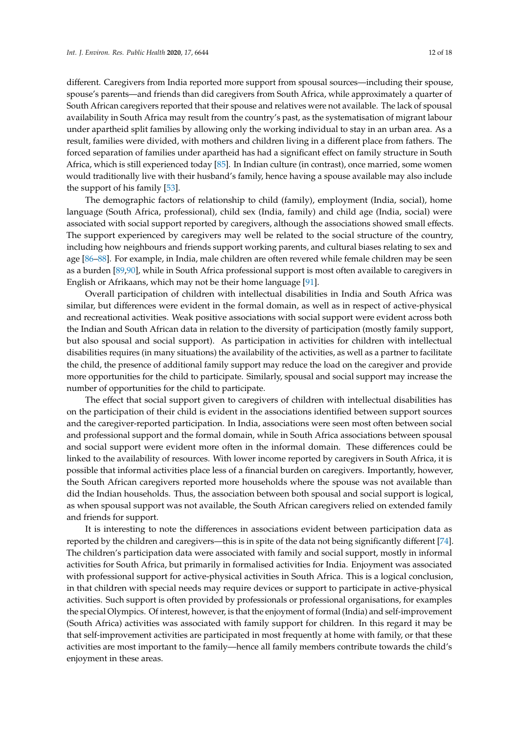different. Caregivers from India reported more support from spousal sources—including their spouse, spouse's parents—and friends than did caregivers from South Africa, while approximately a quarter of South African caregivers reported that their spouse and relatives were not available. The lack of spousal availability in South Africa may result from the country's past, as the systematisation of migrant labour under apartheid split families by allowing only the working individual to stay in an urban area. As a result, families were divided, with mothers and children living in a different place from fathers. The forced separation of families under apartheid has had a significant effect on family structure in South Africa, which is still experienced today [85]. In Indian culture (in contrast), once married, some women would traditionally live with their husband's family, hence having a spouse available may also include the support of his family [53].

The demographic factors of relationship to child (family), employment (India, social), home language (South Africa, professional), child sex (India, family) and child age (India, social) were associated with social support reported by caregivers, although the associations showed small effects. The support experienced by caregivers may well be related to the social structure of the country, including how neighbours and friends support working parents, and cultural biases relating to sex and age [86–88]. For example, in India, male children are often revered while female children may be seen as a burden [89,90], while in South Africa professional support is most often available to caregivers in English or Afrikaans, which may not be their home language [91].

Overall participation of children with intellectual disabilities in India and South Africa was similar, but differences were evident in the formal domain, as well as in respect of active-physical and recreational activities. Weak positive associations with social support were evident across both the Indian and South African data in relation to the diversity of participation (mostly family support, but also spousal and social support). As participation in activities for children with intellectual disabilities requires (in many situations) the availability of the activities, as well as a partner to facilitate the child, the presence of additional family support may reduce the load on the caregiver and provide more opportunities for the child to participate. Similarly, spousal and social support may increase the number of opportunities for the child to participate.

The effect that social support given to caregivers of children with intellectual disabilities has on the participation of their child is evident in the associations identified between support sources and the caregiver-reported participation. In India, associations were seen most often between social and professional support and the formal domain, while in South Africa associations between spousal and social support were evident more often in the informal domain. These differences could be linked to the availability of resources. With lower income reported by caregivers in South Africa, it is possible that informal activities place less of a financial burden on caregivers. Importantly, however, the South African caregivers reported more households where the spouse was not available than did the Indian households. Thus, the association between both spousal and social support is logical, as when spousal support was not available, the South African caregivers relied on extended family and friends for support.

It is interesting to note the differences in associations evident between participation data as reported by the children and caregivers—this is in spite of the data not being significantly different [74]. The children's participation data were associated with family and social support, mostly in informal activities for South Africa, but primarily in formalised activities for India. Enjoyment was associated with professional support for active-physical activities in South Africa. This is a logical conclusion, in that children with special needs may require devices or support to participate in active-physical activities. Such support is often provided by professionals or professional organisations, for examples the special Olympics. Of interest, however, is that the enjoyment of formal (India) and self-improvement (South Africa) activities was associated with family support for children. In this regard it may be that self-improvement activities are participated in most frequently at home with family, or that these activities are most important to the family—hence all family members contribute towards the child's enjoyment in these areas.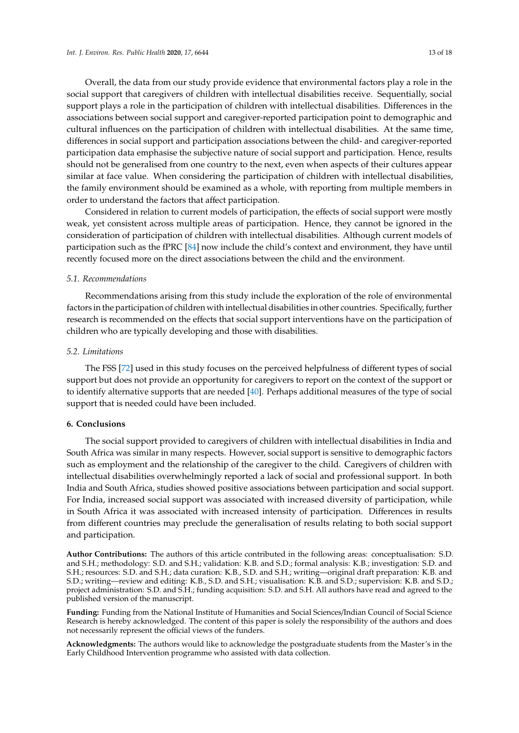Overall, the data from our study provide evidence that environmental factors play a role in the social support that caregivers of children with intellectual disabilities receive. Sequentially, social support plays a role in the participation of children with intellectual disabilities. Differences in the associations between social support and caregiver-reported participation point to demographic and cultural influences on the participation of children with intellectual disabilities. At the same time, differences in social support and participation associations between the child- and caregiver-reported participation data emphasise the subjective nature of social support and participation. Hence, results should not be generalised from one country to the next, even when aspects of their cultures appear similar at face value. When considering the participation of children with intellectual disabilities, the family environment should be examined as a whole, with reporting from multiple members in order to understand the factors that affect participation.

Considered in relation to current models of participation, the effects of social support were mostly weak, yet consistent across multiple areas of participation. Hence, they cannot be ignored in the consideration of participation of children with intellectual disabilities. Although current models of participation such as the fPRC [84] now include the child's context and environment, they have until recently focused more on the direct associations between the child and the environment.

#### *5.1. Recommendations*

Recommendations arising from this study include the exploration of the role of environmental factors in the participation of children with intellectual disabilities in other countries. Specifically, further research is recommended on the effects that social support interventions have on the participation of children who are typically developing and those with disabilities.

#### *5.2. Limitations*

The FSS [72] used in this study focuses on the perceived helpfulness of different types of social support but does not provide an opportunity for caregivers to report on the context of the support or to identify alternative supports that are needed [40]. Perhaps additional measures of the type of social support that is needed could have been included.

#### **6. Conclusions**

The social support provided to caregivers of children with intellectual disabilities in India and South Africa was similar in many respects. However, social support is sensitive to demographic factors such as employment and the relationship of the caregiver to the child. Caregivers of children with intellectual disabilities overwhelmingly reported a lack of social and professional support. In both India and South Africa, studies showed positive associations between participation and social support. For India, increased social support was associated with increased diversity of participation, while in South Africa it was associated with increased intensity of participation. Differences in results from different countries may preclude the generalisation of results relating to both social support and participation.

**Author Contributions:** The authors of this article contributed in the following areas: conceptualisation: S.D. and S.H.; methodology: S.D. and S.H.; validation: K.B. and S.D.; formal analysis: K.B.; investigation: S.D. and S.H.; resources: S.D. and S.H.; data curation: K.B., S.D. and S.H.; writing—original draft preparation: K.B. and S.D.; writing—review and editing: K.B., S.D. and S.H.; visualisation: K.B. and S.D.; supervision: K.B. and S.D.; project administration: S.D. and S.H.; funding acquisition: S.D. and S.H. All authors have read and agreed to the published version of the manuscript.

**Funding:** Funding from the National Institute of Humanities and Social Sciences/Indian Council of Social Science Research is hereby acknowledged. The content of this paper is solely the responsibility of the authors and does not necessarily represent the official views of the funders.

**Acknowledgments:** The authors would like to acknowledge the postgraduate students from the Master's in the Early Childhood Intervention programme who assisted with data collection.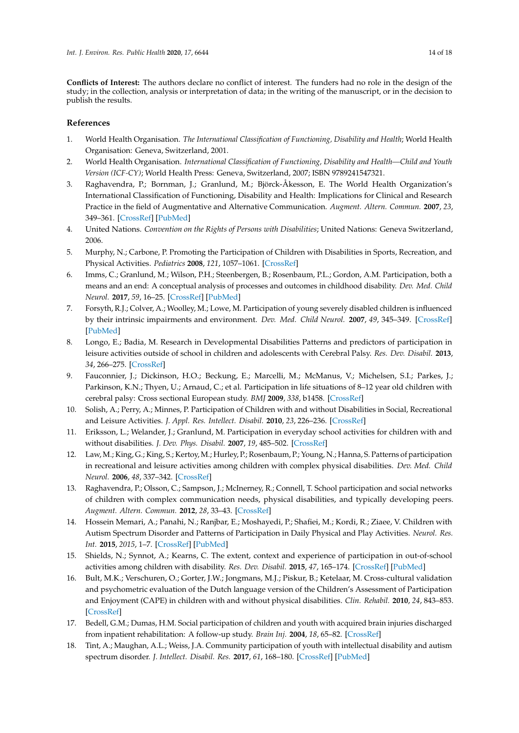**Conflicts of Interest:** The authors declare no conflict of interest. The funders had no role in the design of the study; in the collection, analysis or interpretation of data; in the writing of the manuscript, or in the decision to publish the results.

# **References**

- 1. World Health Organisation. *The International Classification of Functioning, Disability and Health*; World Health Organisation: Geneva, Switzerland, 2001.
- 2. World Health Organisation. *International Classification of Functioning, Disability and Health—Child and Youth Version (ICF-CY)*; World Health Press: Geneva, Switzerland, 2007; ISBN 9789241547321.
- 3. Raghavendra, P.; Bornman, J.; Granlund, M.; Björck-Åkesson, E. The World Health Organization's International Classification of Functioning, Disability and Health: Implications for Clinical and Research Practice in the field of Augmentative and Alternative Communication. *Augment. Altern. Commun.* **2007**, *23*, 349–361. [CrossRef] [PubMed]
- 4. United Nations. *Convention on the Rights of Persons with Disabilities*; United Nations: Geneva Switzerland, 2006.
- 5. Murphy, N.; Carbone, P. Promoting the Participation of Children with Disabilities in Sports, Recreation, and Physical Activities. *Pediatrics* **2008**, *121*, 1057–1061. [CrossRef]
- 6. Imms, C.; Granlund, M.; Wilson, P.H.; Steenbergen, B.; Rosenbaum, P.L.; Gordon, A.M. Participation, both a means and an end: A conceptual analysis of processes and outcomes in childhood disability. *Dev. Med. Child Neurol.* **2017**, *59*, 16–25. [CrossRef] [PubMed]
- 7. Forsyth, R.J.; Colver, A.; Woolley, M.; Lowe, M. Participation of young severely disabled children is influenced by their intrinsic impairments and environment. *Dev. Med. Child Neurol.* **2007**, *49*, 345–349. [CrossRef] [PubMed]
- 8. Longo, E.; Badia, M. Research in Developmental Disabilities Patterns and predictors of participation in leisure activities outside of school in children and adolescents with Cerebral Palsy. *Res. Dev. Disabil.* **2013**, *34*, 266–275. [CrossRef]
- 9. Fauconnier, J.; Dickinson, H.O.; Beckung, E.; Marcelli, M.; McManus, V.; Michelsen, S.I.; Parkes, J.; Parkinson, K.N.; Thyen, U.; Arnaud, C.; et al. Participation in life situations of 8–12 year old children with cerebral palsy: Cross sectional European study. *BMJ* **2009**, *338*, b1458. [CrossRef]
- 10. Solish, A.; Perry, A.; Minnes, P. Participation of Children with and without Disabilities in Social, Recreational and Leisure Activities. *J. Appl. Res. Intellect. Disabil.* **2010**, *23*, 226–236. [CrossRef]
- 11. Eriksson, L.; Welander, J.; Granlund, M. Participation in everyday school activities for children with and without disabilities. *J. Dev. Phys. Disabil.* **2007**, *19*, 485–502. [CrossRef]
- 12. Law, M.; King, G.; King, S.; Kertoy, M.; Hurley, P.; Rosenbaum, P.; Young, N.; Hanna, S. Patterns of participation in recreational and leisure activities among children with complex physical disabilities. *Dev. Med. Child Neurol.* **2006**, *48*, 337–342. [CrossRef]
- 13. Raghavendra, P.; Olsson, C.; Sampson, J.; McInerney, R.; Connell, T. School participation and social networks of children with complex communication needs, physical disabilities, and typically developing peers. *Augment. Altern. Commun.* **2012**, *28*, 33–43. [CrossRef]
- 14. Hossein Memari, A.; Panahi, N.; Ranjbar, E.; Moshayedi, P.; Shafiei, M.; Kordi, R.; Ziaee, V. Children with Autism Spectrum Disorder and Patterns of Participation in Daily Physical and Play Activities. *Neurol. Res. Int.* **2015**, *2015*, 1–7. [CrossRef] [PubMed]
- 15. Shields, N.; Synnot, A.; Kearns, C. The extent, context and experience of participation in out-of-school activities among children with disability. *Res. Dev. Disabil.* **2015**, *47*, 165–174. [CrossRef] [PubMed]
- 16. Bult, M.K.; Verschuren, O.; Gorter, J.W.; Jongmans, M.J.; Piskur, B.; Ketelaar, M. Cross-cultural validation and psychometric evaluation of the Dutch language version of the Children's Assessment of Participation and Enjoyment (CAPE) in children with and without physical disabilities. *Clin. Rehabil.* **2010**, *24*, 843–853. [CrossRef]
- 17. Bedell, G.M.; Dumas, H.M. Social participation of children and youth with acquired brain injuries discharged from inpatient rehabilitation: A follow-up study. *Brain Inj.* **2004**, *18*, 65–82. [CrossRef]
- 18. Tint, A.; Maughan, A.L.; Weiss, J.A. Community participation of youth with intellectual disability and autism spectrum disorder. *J. Intellect. Disabil. Res.* **2017**, *61*, 168–180. [CrossRef] [PubMed]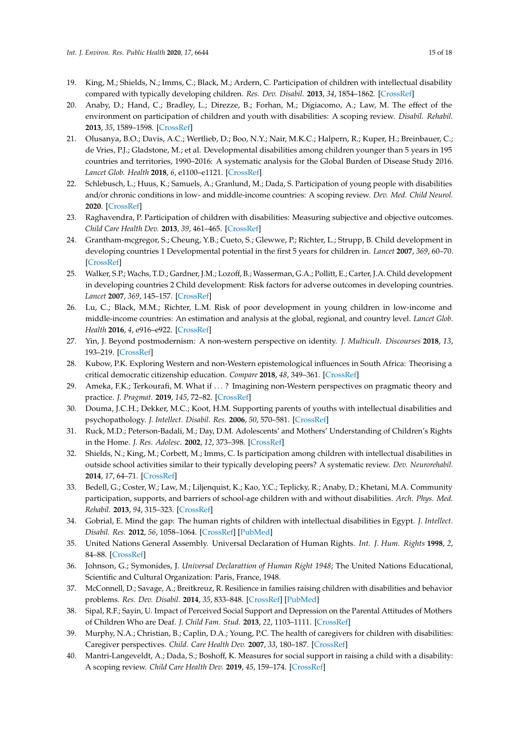- 19. King, M.; Shields, N.; Imms, C.; Black, M.; Ardern, C. Participation of children with intellectual disability compared with typically developing children. *Res. Dev. Disabil.* **2013**, *34*, 1854–1862. [CrossRef]
- 20. Anaby, D.; Hand, C.; Bradley, L.; Direzze, B.; Forhan, M.; Digiacomo, A.; Law, M. The effect of the environment on participation of children and youth with disabilities: A scoping review. *Disabil. Rehabil.* **2013**, *35*, 1589–1598. [CrossRef]
- 21. Olusanya, B.O.; Davis, A.C.; Wertlieb, D.; Boo, N.Y.; Nair, M.K.C.; Halpern, R.; Kuper, H.; Breinbauer, C.; de Vries, P.J.; Gladstone, M.; et al. Developmental disabilities among children younger than 5 years in 195 countries and territories, 1990–2016: A systematic analysis for the Global Burden of Disease Study 2016. *Lancet Glob. Health* **2018**, *6*, e1100–e1121. [CrossRef]
- 22. Schlebusch, L.; Huus, K.; Samuels, A.; Granlund, M.; Dada, S. Participation of young people with disabilities and/or chronic conditions in low- and middle-income countries: A scoping review. *Dev. Med. Child Neurol.* **2020**. [CrossRef]
- 23. Raghavendra, P. Participation of children with disabilities: Measuring subjective and objective outcomes. *Child Care Health Dev.* **2013**, *39*, 461–465. [CrossRef]
- 24. Grantham-mcgregor, S.; Cheung, Y.B.; Cueto, S.; Glewwe, P.; Richter, L.; Strupp, B. Child development in developing countries 1 Developmental potential in the first 5 years for children in. *Lancet* **2007**, *369*, 60–70. [CrossRef]
- 25. Walker, S.P.; Wachs, T.D.; Gardner, J.M.; Lozoff, B.; Wasserman, G.A.; Pollitt, E.; Carter, J.A. Child development in developing countries 2 Child development: Risk factors for adverse outcomes in developing countries. *Lancet* **2007**, *369*, 145–157. [CrossRef]
- 26. Lu, C.; Black, M.M.; Richter, L.M. Risk of poor development in young children in low-income and middle-income countries: An estimation and analysis at the global, regional, and country level. *Lancet Glob. Health* **2016**, *4*, e916–e922. [CrossRef]
- 27. Yin, J. Beyond postmodernism: A non-western perspective on identity. *J. Multicult. Discourses* **2018**, *13*, 193–219. [CrossRef]
- 28. Kubow, P.K. Exploring Western and non-Western epistemological influences in South Africa: Theorising a critical democratic citizenship education. *Compare* **2018**, *48*, 349–361. [CrossRef]
- 29. Ameka, F.K.; Terkourafi, M. What if . . . ? Imagining non-Western perspectives on pragmatic theory and practice. *J. Pragmat.* **2019**, *145*, 72–82. [CrossRef]
- 30. Douma, J.C.H.; Dekker, M.C.; Koot, H.M. Supporting parents of youths with intellectual disabilities and psychopathology. *J. Intellect. Disabil. Res.* **2006**, *50*, 570–581. [CrossRef]
- 31. Ruck, M.D.; Peterson-Badali, M.; Day, D.M. Adolescents' and Mothers' Understanding of Children's Rights in the Home. *J. Res. Adolesc.* **2002**, *12*, 373–398. [CrossRef]
- 32. Shields, N.; King, M.; Corbett, M.; Imms, C. Is participation among children with intellectual disabilities in outside school activities similar to their typically developing peers? A systematic review. *Dev. Neurorehabil.* **2014**, *17*, 64–71. [CrossRef]
- 33. Bedell, G.; Coster, W.; Law, M.; Liljenquist, K.; Kao, Y.C.; Teplicky, R.; Anaby, D.; Khetani, M.A. Community participation, supports, and barriers of school-age children with and without disabilities. *Arch. Phys. Med. Rehabil.* **2013**, *94*, 315–323. [CrossRef]
- 34. Gobrial, E. Mind the gap: The human rights of children with intellectual disabilities in Egypt. *J. Intellect. Disabil. Res.* **2012**, *56*, 1058–1064. [CrossRef] [PubMed]
- 35. United Nations General Assembly. Universal Declaration of Human Rights. *Int. J. Hum. Rights* **1998**, *2*, 84–88. [CrossRef]
- 36. Johnson, G.; Symonides, J. *Universal Declarattion of Human Right 1948*; The United Nations Educational, Scientific and Cultural Organization: Paris, France, 1948.
- 37. McConnell, D.; Savage, A.; Breitkreuz, R. Resilience in families raising children with disabilities and behavior problems. *Res. Dev. Disabil.* **2014**, *35*, 833–848. [CrossRef] [PubMed]
- 38. Sipal, R.F.; Sayin, U. Impact of Perceived Social Support and Depression on the Parental Attitudes of Mothers of Children Who are Deaf. *J. Child Fam. Stud.* **2013**, *22*, 1103–1111. [CrossRef]
- 39. Murphy, N.A.; Christian, B.; Caplin, D.A.; Young, P.C. The health of caregivers for children with disabilities: Caregiver perspectives. *Child. Care Health Dev.* **2007**, *33*, 180–187. [CrossRef]
- 40. Mantri-Langeveldt, A.; Dada, S.; Boshoff, K. Measures for social support in raising a child with a disability: A scoping review. *Child Care Health Dev.* **2019**, *45*, 159–174. [CrossRef]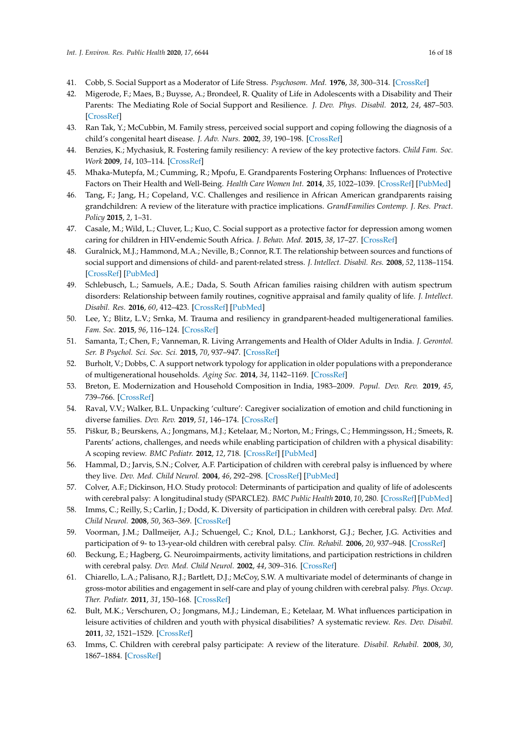- 41. Cobb, S. Social Support as a Moderator of Life Stress. *Psychosom. Med.* **1976**, *38*, 300–314. [CrossRef]
- 42. Migerode, F.; Maes, B.; Buysse, A.; Brondeel, R. Quality of Life in Adolescents with a Disability and Their Parents: The Mediating Role of Social Support and Resilience. *J. Dev. Phys. Disabil.* **2012**, *24*, 487–503. [CrossRef]
- 43. Ran Tak, Y.; McCubbin, M. Family stress, perceived social support and coping following the diagnosis of a child's congenital heart disease. *J. Adv. Nurs.* **2002**, *39*, 190–198. [CrossRef]
- 44. Benzies, K.; Mychasiuk, R. Fostering family resiliency: A review of the key protective factors. *Child Fam. Soc. Work* **2009**, *14*, 103–114. [CrossRef]
- 45. Mhaka-Mutepfa, M.; Cumming, R.; Mpofu, E. Grandparents Fostering Orphans: Influences of Protective Factors on Their Health and Well-Being. *Health Care Women Int.* **2014**, *35*, 1022–1039. [CrossRef] [PubMed]
- 46. Tang, F.; Jang, H.; Copeland, V.C. Challenges and resilience in African American grandparents raising grandchildren: A review of the literature with practice implications. *GrandFamilies Contemp. J. Res. Pract. Policy* **2015**, *2*, 1–31.
- 47. Casale, M.; Wild, L.; Cluver, L.; Kuo, C. Social support as a protective factor for depression among women caring for children in HIV-endemic South Africa. *J. Behav. Med.* **2015**, *38*, 17–27. [CrossRef]
- 48. Guralnick, M.J.; Hammond, M.A.; Neville, B.; Connor, R.T. The relationship between sources and functions of social support and dimensions of child- and parent-related stress. *J. Intellect. Disabil. Res.* **2008**, *52*, 1138–1154. [CrossRef] [PubMed]
- 49. Schlebusch, L.; Samuels, A.E.; Dada, S. South African families raising children with autism spectrum disorders: Relationship between family routines, cognitive appraisal and family quality of life. *J. Intellect. Disabil. Res.* **2016**, *60*, 412–423. [CrossRef] [PubMed]
- 50. Lee, Y.; Blitz, L.V.; Srnka, M. Trauma and resiliency in grandparent-headed multigenerational families. *Fam. Soc.* **2015**, *96*, 116–124. [CrossRef]
- 51. Samanta, T.; Chen, F.; Vanneman, R. Living Arrangements and Health of Older Adults in India. *J. Gerontol. Ser. B Psychol. Sci. Soc. Sci.* **2015**, *70*, 937–947. [CrossRef]
- 52. Burholt, V.; Dobbs, C. A support network typology for application in older populations with a preponderance of multigenerational households. *Aging Soc.* **2014**, *34*, 1142–1169. [CrossRef]
- 53. Breton, E. Modernization and Household Composition in India, 1983–2009. *Popul. Dev. Rev.* **2019**, *45*, 739–766. [CrossRef]
- 54. Raval, V.V.; Walker, B.L. Unpacking 'culture': Caregiver socialization of emotion and child functioning in diverse families. *Dev. Rev.* **2019**, *51*, 146–174. [CrossRef]
- 55. Piškur, B.; Beurskens, A.; Jongmans, M.J.; Ketelaar, M.; Norton, M.; Frings, C.; Hemmingsson, H.; Smeets, R. Parents' actions, challenges, and needs while enabling participation of children with a physical disability: A scoping review. *BMC Pediatr.* **2012**, *12*, 718. [CrossRef] [PubMed]
- 56. Hammal, D.; Jarvis, S.N.; Colver, A.F. Participation of children with cerebral palsy is influenced by where they live. *Dev. Med. Child Neurol.* **2004**, *46*, 292–298. [CrossRef] [PubMed]
- 57. Colver, A.F.; Dickinson, H.O. Study protocol: Determinants of participation and quality of life of adolescents with cerebral palsy: A longitudinal study (SPARCLE2). *BMC Public Health* **2010**, *10*, 280. [CrossRef] [PubMed]
- 58. Imms, C.; Reilly, S.; Carlin, J.; Dodd, K. Diversity of participation in children with cerebral palsy. *Dev. Med. Child Neurol.* **2008**, *50*, 363–369. [CrossRef]
- 59. Voorman, J.M.; Dallmeijer, A.J.; Schuengel, C.; Knol, D.L.; Lankhorst, G.J.; Becher, J.G. Activities and participation of 9- to 13-year-old children with cerebral palsy. *Clin. Rehabil.* **2006**, *20*, 937–948. [CrossRef]
- 60. Beckung, E.; Hagberg, G. Neuroimpairments, activity limitations, and participation restrictions in children with cerebral palsy. *Dev. Med. Child Neurol.* **2002**, *44*, 309–316. [CrossRef]
- 61. Chiarello, L.A.; Palisano, R.J.; Bartlett, D.J.; McCoy, S.W. A multivariate model of determinants of change in gross-motor abilities and engagement in self-care and play of young children with cerebral palsy. *Phys. Occup. Ther. Pediatr.* **2011**, *31*, 150–168. [CrossRef]
- 62. Bult, M.K.; Verschuren, O.; Jongmans, M.J.; Lindeman, E.; Ketelaar, M. What influences participation in leisure activities of children and youth with physical disabilities? A systematic review. *Res. Dev. Disabil.* **2011**, *32*, 1521–1529. [CrossRef]
- 63. Imms, C. Children with cerebral palsy participate: A review of the literature. *Disabil. Rehabil.* **2008**, *30*, 1867–1884. [CrossRef]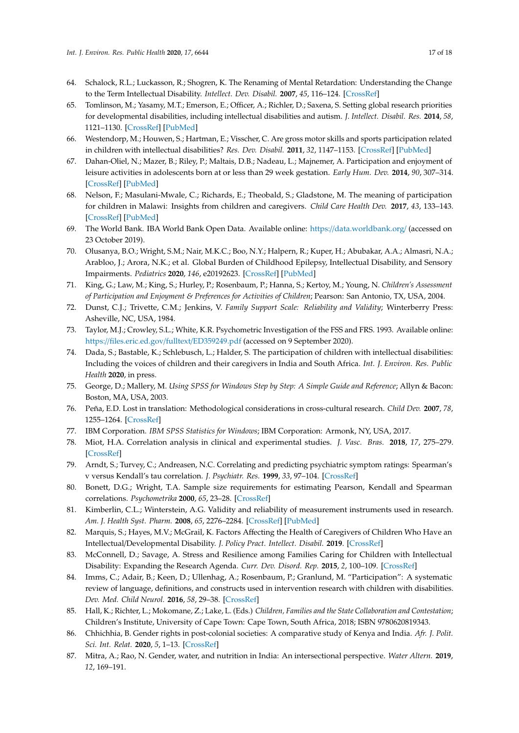- 64. Schalock, R.L.; Luckasson, R.; Shogren, K. The Renaming of Mental Retardation: Understanding the Change to the Term Intellectual Disability. *Intellect. Dev. Disabil.* **2007**, *45*, 116–124. [CrossRef]
- 65. Tomlinson, M.; Yasamy, M.T.; Emerson, E.; Officer, A.; Richler, D.; Saxena, S. Setting global research priorities for developmental disabilities, including intellectual disabilities and autism. *J. Intellect. Disabil. Res.* **2014**, *58*, 1121–1130. [CrossRef] [PubMed]
- 66. Westendorp, M.; Houwen, S.; Hartman, E.; Visscher, C. Are gross motor skills and sports participation related in children with intellectual disabilities? *Res. Dev. Disabil.* **2011**, *32*, 1147–1153. [CrossRef] [PubMed]
- 67. Dahan-Oliel, N.; Mazer, B.; Riley, P.; Maltais, D.B.; Nadeau, L.; Majnemer, A. Participation and enjoyment of leisure activities in adolescents born at or less than 29 week gestation. *Early Hum. Dev.* **2014**, *90*, 307–314. [CrossRef] [PubMed]
- 68. Nelson, F.; Masulani-Mwale, C.; Richards, E.; Theobald, S.; Gladstone, M. The meaning of participation for children in Malawi: Insights from children and caregivers. *Child Care Health Dev.* **2017**, *43*, 133–143. [CrossRef] [PubMed]
- 69. The World Bank. IBA World Bank Open Data. Available online: https://data.worldbank.org/ (accessed on 23 October 2019).
- 70. Olusanya, B.O.; Wright, S.M.; Nair, M.K.C.; Boo, N.Y.; Halpern, R.; Kuper, H.; Abubakar, A.A.; Almasri, N.A.; Arabloo, J.; Arora, N.K.; et al. Global Burden of Childhood Epilepsy, Intellectual Disability, and Sensory Impairments. *Pediatrics* **2020**, *146*, e20192623. [CrossRef] [PubMed]
- 71. King, G.; Law, M.; King, S.; Hurley, P.; Rosenbaum, P.; Hanna, S.; Kertoy, M.; Young, N. *Children's Assessment of Participation and Enjoyment & Preferences for Activities of Children*; Pearson: San Antonio, TX, USA, 2004.
- 72. Dunst, C.J.; Trivette, C.M.; Jenkins, V. *Family Support Scale: Reliability and Validity*; Winterberry Press: Asheville, NC, USA, 1984.
- 73. Taylor, M.J.; Crowley, S.L.; White, K.R. Psychometric Investigation of the FSS and FRS. 1993. Available online: https://files.eric.ed.gov/fulltext/ED359249.pdf (accessed on 9 September 2020).
- 74. Dada, S.; Bastable, K.; Schlebusch, L.; Halder, S. The participation of children with intellectual disabilities: Including the voices of children and their caregivers in India and South Africa. *Int. J. Environ. Res. Public Health* **2020**, in press.
- 75. George, D.; Mallery, M. *Using SPSS for Windows Step by Step: A Simple Guide and Reference*; Allyn & Bacon: Boston, MA, USA, 2003.
- 76. Peña, E.D. Lost in translation: Methodological considerations in cross-cultural research. *Child Dev.* **2007**, *78*, 1255–1264. [CrossRef]
- 77. IBM Corporation. *IBM SPSS Statistics for Windows*; IBM Corporation: Armonk, NY, USA, 2017.
- 78. Miot, H.A. Correlation analysis in clinical and experimental studies. *J. Vasc. Bras.* **2018**, *17*, 275–279. [CrossRef]
- 79. Arndt, S.; Turvey, C.; Andreasen, N.C. Correlating and predicting psychiatric symptom ratings: Spearman's v versus Kendall's tau correlation. *J. Psychiatr. Res.* **1999**, *33*, 97–104. [CrossRef]
- 80. Bonett, D.G.; Wright, T.A. Sample size requirements for estimating Pearson, Kendall and Spearman correlations. *Psychometrika* **2000**, *65*, 23–28. [CrossRef]
- 81. Kimberlin, C.L.; Winterstein, A.G. Validity and reliability of measurement instruments used in research. *Am. J. Health Syst. Pharm.* **2008**, *65*, 2276–2284. [CrossRef] [PubMed]
- 82. Marquis, S.; Hayes, M.V.; McGrail, K. Factors Affecting the Health of Caregivers of Children Who Have an Intellectual/Developmental Disability. *J. Policy Pract. Intellect. Disabil.* **2019**. [CrossRef]
- 83. McConnell, D.; Savage, A. Stress and Resilience among Families Caring for Children with Intellectual Disability: Expanding the Research Agenda. *Curr. Dev. Disord. Rep.* **2015**, *2*, 100–109. [CrossRef]
- 84. Imms, C.; Adair, B.; Keen, D.; Ullenhag, A.; Rosenbaum, P.; Granlund, M. "Participation": A systematic review of language, definitions, and constructs used in intervention research with children with disabilities. *Dev. Med. Child Neurol.* **2016**, *58*, 29–38. [CrossRef]
- 85. Hall, K.; Richter, L.; Mokomane, Z.; Lake, L. (Eds.) *Children, Families and the State Collaboration and Contestation*; Children's Institute, University of Cape Town: Cape Town, South Africa, 2018; ISBN 9780620819343.
- 86. Chhichhia, B. Gender rights in post-colonial societies: A comparative study of Kenya and India. *Afr. J. Polit. Sci. Int. Relat.* **2020**, *5*, 1–13. [CrossRef]
- 87. Mitra, A.; Rao, N. Gender, water, and nutrition in India: An intersectional perspective. *Water Altern.* **2019**, *12*, 169–191.